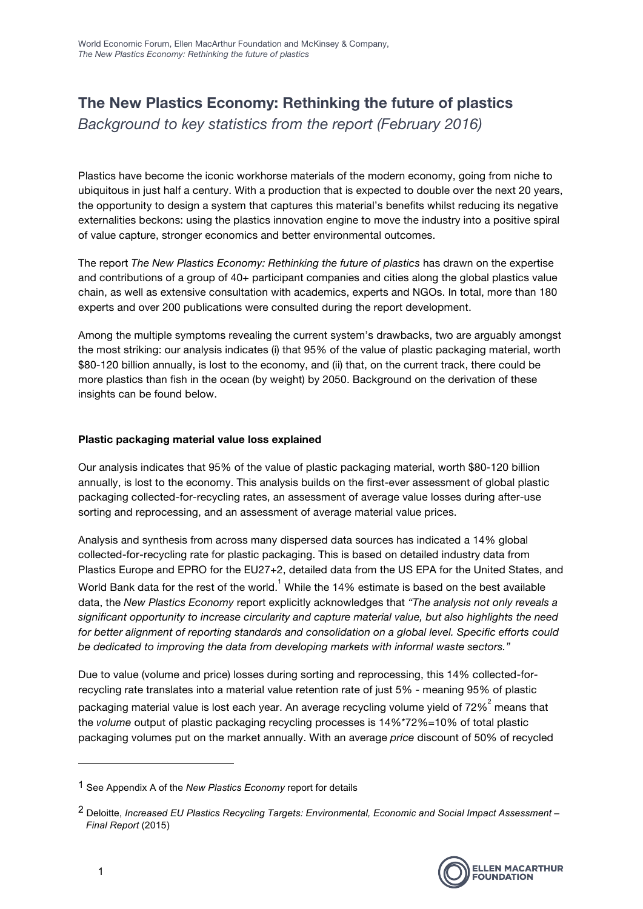## **The New Plastics Economy: Rethinking the future of plastics**

*Background to key statistics from the report (February 2016)*

Plastics have become the iconic workhorse materials of the modern economy, going from niche to ubiquitous in just half a century. With a production that is expected to double over the next 20 years, the opportunity to design a system that captures this material's benefits whilst reducing its negative externalities beckons: using the plastics innovation engine to move the industry into a positive spiral of value capture, stronger economics and better environmental outcomes.

The report *The New Plastics Economy: Rethinking the future of plastics* has drawn on the expertise and contributions of a group of 40+ participant companies and cities along the global plastics value chain, as well as extensive consultation with academics, experts and NGOs. In total, more than 180 experts and over 200 publications were consulted during the report development.

Among the multiple symptoms revealing the current system's drawbacks, two are arguably amongst the most striking: our analysis indicates (i) that 95% of the value of plastic packaging material, worth \$80-120 billion annually, is lost to the economy, and (ii) that, on the current track, there could be more plastics than fish in the ocean (by weight) by 2050. Background on the derivation of these insights can be found below.

## **Plastic packaging material value loss explained**

Our analysis indicates that 95% of the value of plastic packaging material, worth \$80-120 billion annually, is lost to the economy. This analysis builds on the first-ever assessment of global plastic packaging collected-for-recycling rates, an assessment of average value losses during after-use sorting and reprocessing, and an assessment of average material value prices.

Analysis and synthesis from across many dispersed data sources has indicated a 14% global collected-for-recycling rate for plastic packaging. This is based on detailed industry data from Plastics Europe and EPRO for the EU27+2, detailed data from the US EPA for the United States, and

World Bank data for the rest of the world.  $^1$  While the 14% estimate is based on the best available data, the *New Plastics Economy* report explicitly acknowledges that *"The analysis not only reveals a significant opportunity to increase circularity and capture material value, but also highlights the need for better alignment of reporting standards and consolidation on a global level. Specific efforts could be dedicated to improving the data from developing markets with informal waste sectors."*

Due to value (volume and price) losses during sorting and reprocessing, this 14% collected-forrecycling rate translates into a material value retention rate of just 5% - meaning 95% of plastic packaging material value is lost each year. An average recycling volume yield of 72% $^2$  means that the *volume* output of plastic packaging recycling processes is 14%\*72%=10% of total plastic packaging volumes put on the market annually. With an average *price* discount of 50% of recycled

 

<sup>1</sup> See Appendix A of the *New Plastics Economy* report for details

<sup>2</sup> Deloitte, *Increased EU Plastics Recycling Targets: Environmental, Economic and Social Impact Assessment – Final Report* (2015)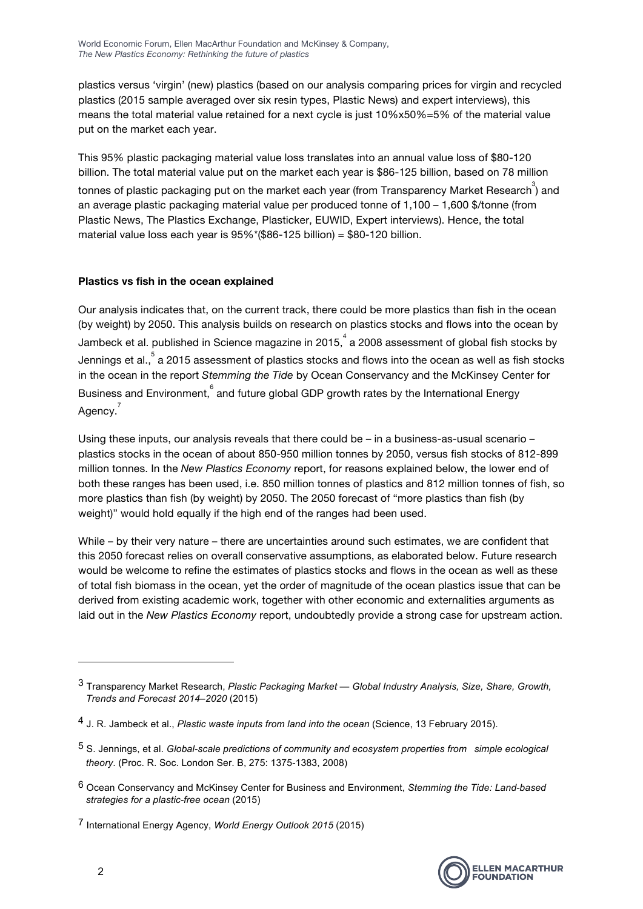plastics versus 'virgin' (new) plastics (based on our analysis comparing prices for virgin and recycled plastics (2015 sample averaged over six resin types, Plastic News) and expert interviews), this means the total material value retained for a next cycle is just 10%x50%=5% of the material value put on the market each year.

This 95% plastic packaging material value loss translates into an annual value loss of \$80-120 billion. The total material value put on the market each year is \$86-125 billion, based on 78 million tonnes of plastic packaging put on the market each year (from Transparency Market Research $^3$ ) and an average plastic packaging material value per produced tonne of 1,100 – 1,600 \$/tonne (from Plastic News, The Plastics Exchange, Plasticker, EUWID, Expert interviews). Hence, the total material value loss each year is 95%\*(\$86-125 billion) = \$80-120 billion.

## **Plastics vs fish in the ocean explained**

 

Our analysis indicates that, on the current track, there could be more plastics than fish in the ocean (by weight) by 2050. This analysis builds on research on plastics stocks and flows into the ocean by Jambeck et al. published in Science magazine in 2015, $^4$  a 2008 assessment of global fish stocks by Jennings et al., $\degree$  a 2015 assessment of plastics stocks and flows into the ocean as well as fish stocks in the ocean in the report *Stemming the Tide* by Ocean Conservancy and the McKinsey Center for Business and Environment,  $6$  and future global GDP growth rates by the International Energy Agency.<sup>7</sup>

Using these inputs, our analysis reveals that there could be – in a business-as-usual scenario – plastics stocks in the ocean of about 850-950 million tonnes by 2050, versus fish stocks of 812-899 million tonnes. In the *New Plastics Economy* report, for reasons explained below, the lower end of both these ranges has been used, i.e. 850 million tonnes of plastics and 812 million tonnes of fish, so more plastics than fish (by weight) by 2050. The 2050 forecast of "more plastics than fish (by weight)" would hold equally if the high end of the ranges had been used.

While – by their very nature – there are uncertainties around such estimates, we are confident that this 2050 forecast relies on overall conservative assumptions, as elaborated below. Future research would be welcome to refine the estimates of plastics stocks and flows in the ocean as well as these of total fish biomass in the ocean, yet the order of magnitude of the ocean plastics issue that can be derived from existing academic work, together with other economic and externalities arguments as laid out in the *New Plastics Economy* report, undoubtedly provide a strong case for upstream action.



<sup>3</sup> Transparency Market Research, *Plastic Packaging Market — Global Industry Analysis, Size, Share, Growth, Trends and Forecast 2014–2020* (2015)

<sup>4</sup> J. R. Jambeck et al., *Plastic waste inputs from land into the ocean* (Science, 13 February 2015).

<sup>5</sup> S. Jennings, et al. *Global-scale predictions of community and ecosystem properties from simple ecological theory*. (Proc. R. Soc. London Ser. B, 275: 1375-1383, 2008)

<sup>6</sup> Ocean Conservancy and McKinsey Center for Business and Environment, *Stemming the Tide: Land-based strategies for a plastic-free ocean* (2015)

<sup>7</sup> International Energy Agency, *World Energy Outlook 2015* (2015)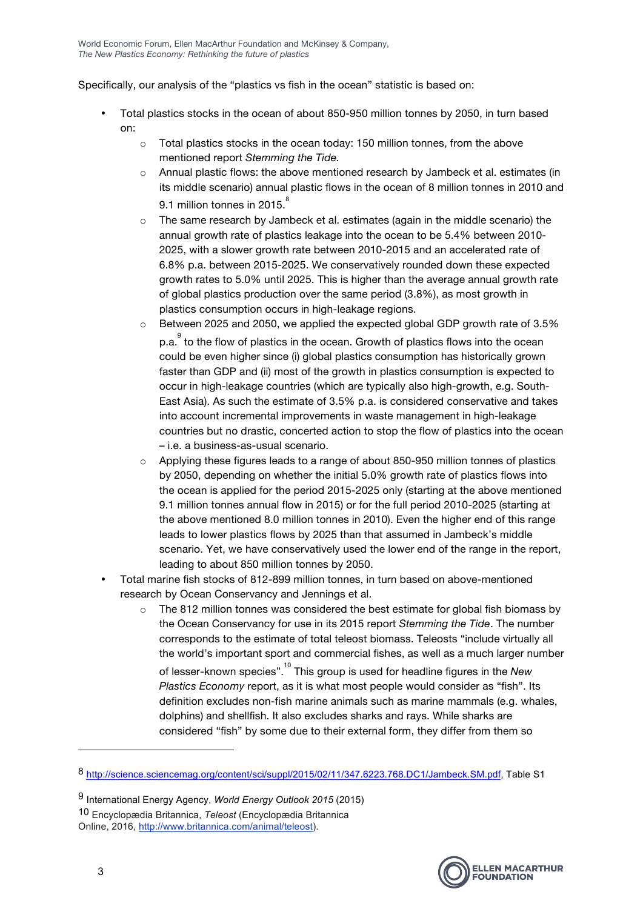Specifically, our analysis of the "plastics vs fish in the ocean" statistic is based on:

- Total plastics stocks in the ocean of about 850-950 million tonnes by 2050, in turn based on:
	- o Total plastics stocks in the ocean today: 150 million tonnes, from the above mentioned report *Stemming the Tide.*
	- o Annual plastic flows: the above mentioned research by Jambeck et al. estimates (in its middle scenario) annual plastic flows in the ocean of 8 million tonnes in 2010 and 9.1 million tonnes in 2015.<sup>8</sup>
	- o The same research by Jambeck et al. estimates (again in the middle scenario) the annual growth rate of plastics leakage into the ocean to be 5.4% between 2010- 2025, with a slower growth rate between 2010-2015 and an accelerated rate of 6.8% p.a. between 2015-2025. We conservatively rounded down these expected growth rates to 5.0% until 2025. This is higher than the average annual growth rate of global plastics production over the same period (3.8%), as most growth in plastics consumption occurs in high-leakage regions.
	- o Between 2025 and 2050, we applied the expected global GDP growth rate of 3.5% p.a. $\degree$  to the flow of plastics in the ocean. Growth of plastics flows into the ocean could be even higher since (i) global plastics consumption has historically grown faster than GDP and (ii) most of the growth in plastics consumption is expected to occur in high-leakage countries (which are typically also high-growth, e.g. South-East Asia). As such the estimate of 3.5% p.a. is considered conservative and takes into account incremental improvements in waste management in high-leakage countries but no drastic, concerted action to stop the flow of plastics into the ocean – i.e. a business-as-usual scenario.
	- $\circ$  Applying these figures leads to a range of about 850-950 million tonnes of plastics by 2050, depending on whether the initial 5.0% growth rate of plastics flows into the ocean is applied for the period 2015-2025 only (starting at the above mentioned 9.1 million tonnes annual flow in 2015) or for the full period 2010-2025 (starting at the above mentioned 8.0 million tonnes in 2010). Even the higher end of this range leads to lower plastics flows by 2025 than that assumed in Jambeck's middle scenario. Yet, we have conservatively used the lower end of the range in the report, leading to about 850 million tonnes by 2050.
- Total marine fish stocks of 812-899 million tonnes, in turn based on above-mentioned research by Ocean Conservancy and Jennings et al.
	- $\circ$  The 812 million tonnes was considered the best estimate for global fish biomass by the Ocean Conservancy for use in its 2015 report *Stemming the Tide*. The number corresponds to the estimate of total teleost biomass. Teleosts "include virtually all the world's important sport and commercial fishes, as well as a much larger number of lesser-known species".10 This group is used for headline figures in the *New Plastics Economy* report, as it is what most people would consider as "fish". Its definition excludes non-fish marine animals such as marine mammals (e.g. whales, dolphins) and shellfish. It also excludes sharks and rays. While sharks are considered "fish" by some due to their external form, they differ from them so

 



<sup>8</sup> http://science.sciencemag.org/content/sci/suppl/2015/02/11/347.6223.768.DC1/Jambeck.SM.pdf, Table S1

<sup>9</sup> International Energy Agency, *World Energy Outlook 2015* (2015) 10 Encyclopædia Britannica, *Teleost* (Encyclopædia Britannica Online, 2016, http://www.britannica.com/animal/teleost).